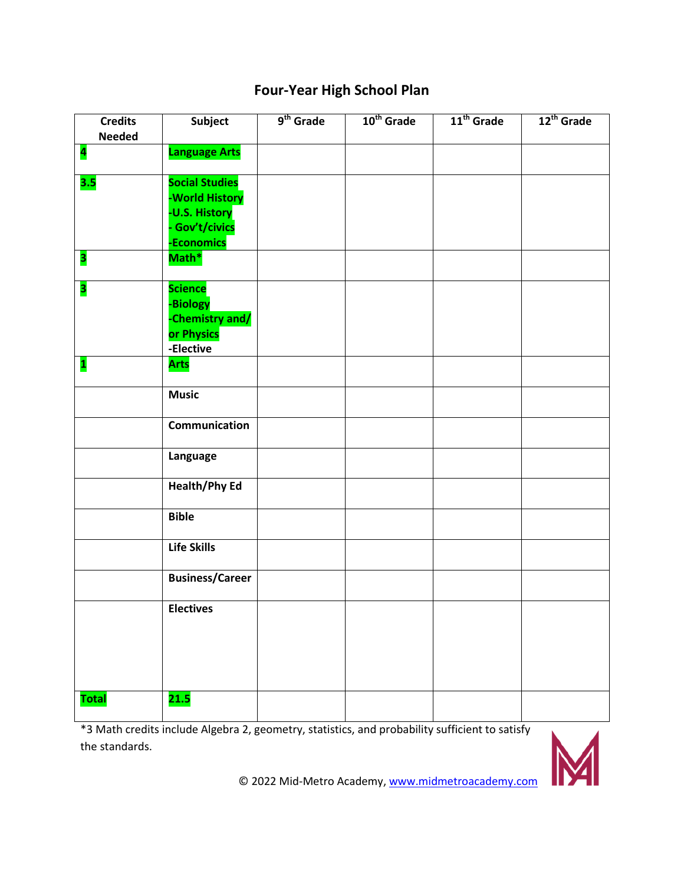## **Four-Year High School Plan**

| <b>Credits</b><br><b>Needed</b> | Subject                                                                                  | $9th$ Grade | 10 <sup>th</sup> Grade | 11 <sup>th</sup> Grade | 12 <sup>th</sup> Grade |
|---------------------------------|------------------------------------------------------------------------------------------|-------------|------------------------|------------------------|------------------------|
| $\overline{\mathbf{a}}$         | <b>Language Arts</b>                                                                     |             |                        |                        |                        |
| 3.5                             | <b>Social Studies</b><br>-World History<br>-U.S. History<br>- Gov't/civics<br>-Economics |             |                        |                        |                        |
| 3                               | Math*                                                                                    |             |                        |                        |                        |
| 3                               | <b>Science</b><br>-Biology<br>-Chemistry and/<br>or Physics<br>-Elective                 |             |                        |                        |                        |
| $\mathbf{1}$                    | <b>Arts</b>                                                                              |             |                        |                        |                        |
|                                 | <b>Music</b>                                                                             |             |                        |                        |                        |
|                                 | Communication                                                                            |             |                        |                        |                        |
|                                 | Language                                                                                 |             |                        |                        |                        |
|                                 | <b>Health/Phy Ed</b>                                                                     |             |                        |                        |                        |
|                                 | <b>Bible</b>                                                                             |             |                        |                        |                        |
|                                 | <b>Life Skills</b>                                                                       |             |                        |                        |                        |
|                                 | <b>Business/Career</b>                                                                   |             |                        |                        |                        |
|                                 | <b>Electives</b>                                                                         |             |                        |                        |                        |
| <b>Total</b>                    | 21.5                                                                                     |             |                        |                        |                        |

\*3 Math credits include Algebra 2, geometry, statistics, and probability sufficient to satisfy the standards.

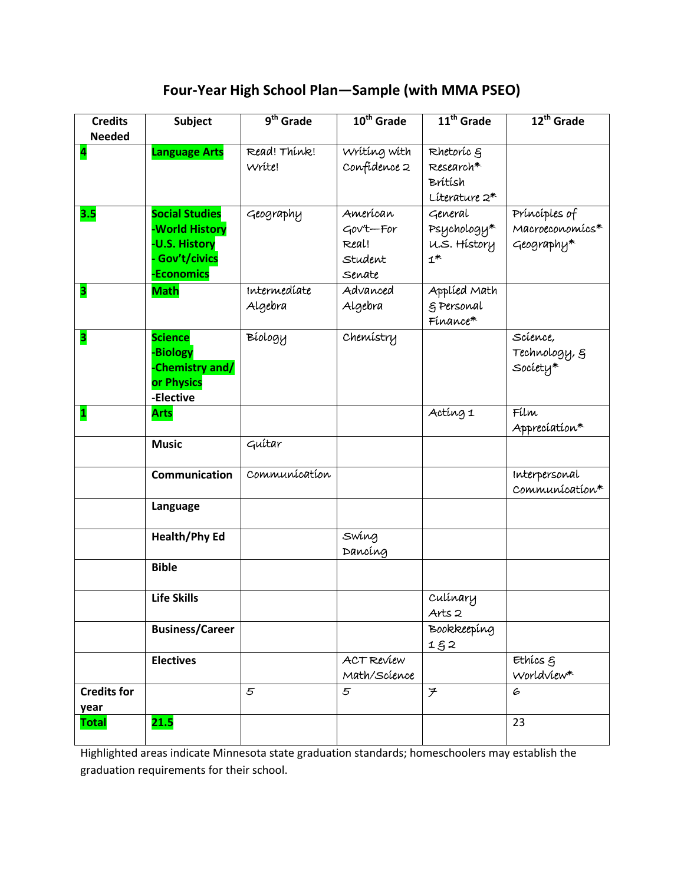## **Four-Year High School Plan—Sample (with MMA PSEO)**

| <b>Credits</b>             | <b>Subject</b>                                                                           | $9th$ Grade             | 10 <sup>th</sup> Grade                              | 11 <sup>th</sup> Grade                              | 12 <sup>th</sup> Grade                         |
|----------------------------|------------------------------------------------------------------------------------------|-------------------------|-----------------------------------------------------|-----------------------------------------------------|------------------------------------------------|
| <b>Needed</b><br>4         | <b>Language Arts</b>                                                                     | Read! Think!<br>Write!  | Wrítíng wíth<br>Confidence 2                        | Rhetoric g<br>Research*<br>Brítísh<br>Literature 2* |                                                |
| 3.5                        | <b>Social Studies</b><br>-World History<br>-U.S. History<br>- Gov't/civics<br>-Economics | Geography               | Amerícan<br>Gov't-For<br>Real!<br>Student<br>Senate | General<br>Psychology*<br>U.S. History<br>$1^*$     | Príncíples of<br>Macroeconomícs*<br>Geography* |
| 3                          | <b>Math</b>                                                                              | Intermedíate<br>Algebra | Advanced<br>Algebra                                 | Applied Math<br>g Personal<br>Finance*              |                                                |
| 3                          | <b>Science</b><br>-Biology<br>-Chemistry and/<br>or Physics<br>-Elective                 | Bíology                 | Chemistry                                           |                                                     | Scíence,<br>Technology, §<br>${\sf Society}^*$ |
| $\mathbf{1}$               | <b>Arts</b>                                                                              |                         |                                                     | Acting 1                                            | Fílm<br>Appreciation*                          |
|                            | <b>Music</b>                                                                             | Guitar                  |                                                     |                                                     |                                                |
|                            | Communication                                                                            | Communication           |                                                     |                                                     | Interpersonal<br>Communication*                |
|                            | Language                                                                                 |                         |                                                     |                                                     |                                                |
|                            | <b>Health/Phy Ed</b>                                                                     |                         | Swing<br>Dancing                                    |                                                     |                                                |
|                            | <b>Bible</b>                                                                             |                         |                                                     |                                                     |                                                |
|                            | <b>Life Skills</b>                                                                       |                         |                                                     | Culínary<br>Arts <sub>2</sub>                       |                                                |
|                            | <b>Business/Career</b>                                                                   |                         |                                                     | Bookkeeping<br>152                                  |                                                |
|                            | <b>Electives</b>                                                                         |                         | ACT Review<br>Math/Science                          |                                                     | Ethics &<br>Worldview*                         |
| <b>Credits for</b><br>year |                                                                                          | 5                       | $\mathfrak{s}$                                      | $\overline{\mathcal{F}}$                            | 6                                              |
| <b>Total</b>               | 21.5                                                                                     |                         |                                                     |                                                     | 23                                             |

Highlighted areas indicate Minnesota state graduation standards; homeschoolers may establish the graduation requirements for their school.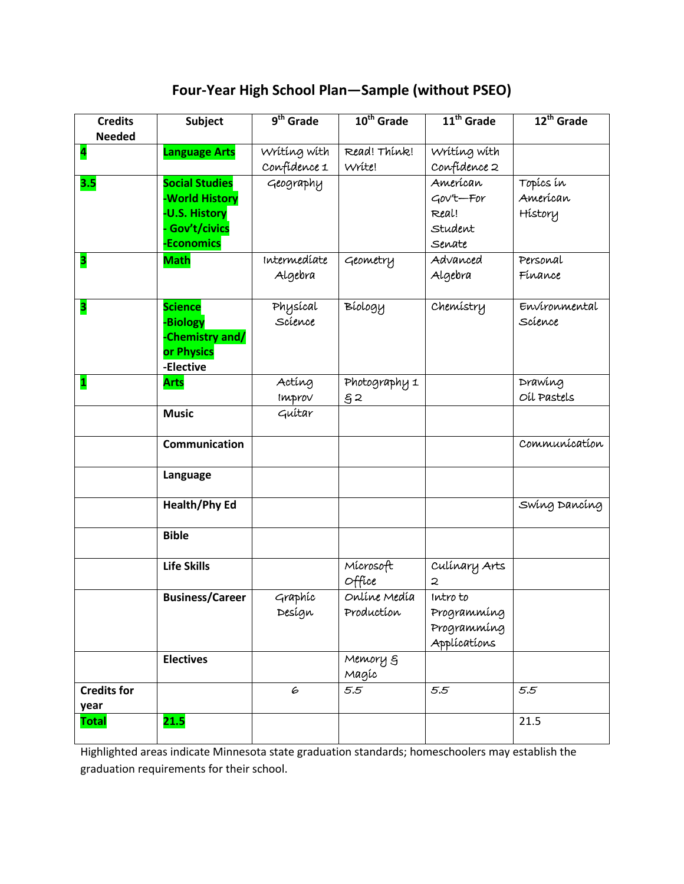**Four-Year High School Plan—Sample (without PSEO)**

| <b>Credits</b><br><b>Needed</b> | Subject                                                                                             | $9th$ Grade                  | 10 <sup>th</sup> Grade     | 11 <sup>th</sup> Grade                                 | 12 <sup>th</sup> Grade           |
|---------------------------------|-----------------------------------------------------------------------------------------------------|------------------------------|----------------------------|--------------------------------------------------------|----------------------------------|
| 4                               | <b>Language Arts</b>                                                                                | Wrítíng wíth<br>Confidence 1 | Read! Think!<br>Write!     | Wrítíng wíth<br>Confidence 2                           |                                  |
| 3.5                             | <b>Social Studies</b><br>-World History<br><b>-U.S. History</b><br>Gov't/civics<br><b>Economics</b> | Geography                    |                            | Amerícan<br>Gov't-For<br>Real!<br>Student<br>Senate    | Topícs ín<br>American<br>History |
| 3                               | <b>Math</b>                                                                                         | Intermedíate<br>Algebra      | Geometry                   | Advanced<br>Algebra                                    | Personal<br>Finance              |
| 3                               | <b>Science</b><br>-Biology<br>Chemistry and/<br>or Physics<br>-Elective                             | Physical<br>Science          | Bíology                    | Chemistry                                              | Environmental<br>Science         |
| $\mathbf{1}$                    | <b>Arts</b>                                                                                         | Acting<br>Improv             | Photography 1<br>§2        |                                                        | Drawing<br>OLL Pastels           |
|                                 | <b>Music</b>                                                                                        | Guítar                       |                            |                                                        |                                  |
|                                 | Communication                                                                                       |                              |                            |                                                        | Communication                    |
|                                 | Language                                                                                            |                              |                            |                                                        |                                  |
|                                 | <b>Health/Phy Ed</b>                                                                                |                              |                            |                                                        | Swing Dancing                    |
|                                 | <b>Bible</b>                                                                                        |                              |                            |                                                        |                                  |
|                                 | <b>Life Skills</b>                                                                                  |                              | Mícrosoft<br>Office        | Culinary Arts<br>2                                     |                                  |
|                                 | <b>Business/Career</b>                                                                              | Graphic<br>Design            | Onlíne Medía<br>Production | Intro to<br>Programmíng<br>Programming<br>Applications |                                  |
|                                 | <b>Electives</b>                                                                                    |                              | Memory 5<br>Magíc          |                                                        |                                  |
| <b>Credits for</b><br>year      |                                                                                                     | 6                            | 5.5                        | 5.5                                                    | 5.5                              |
| <b>Total</b>                    | 21.5                                                                                                |                              |                            |                                                        | 21.5                             |

Highlighted areas indicate Minnesota state graduation standards; homeschoolers may establish the graduation requirements for their school.